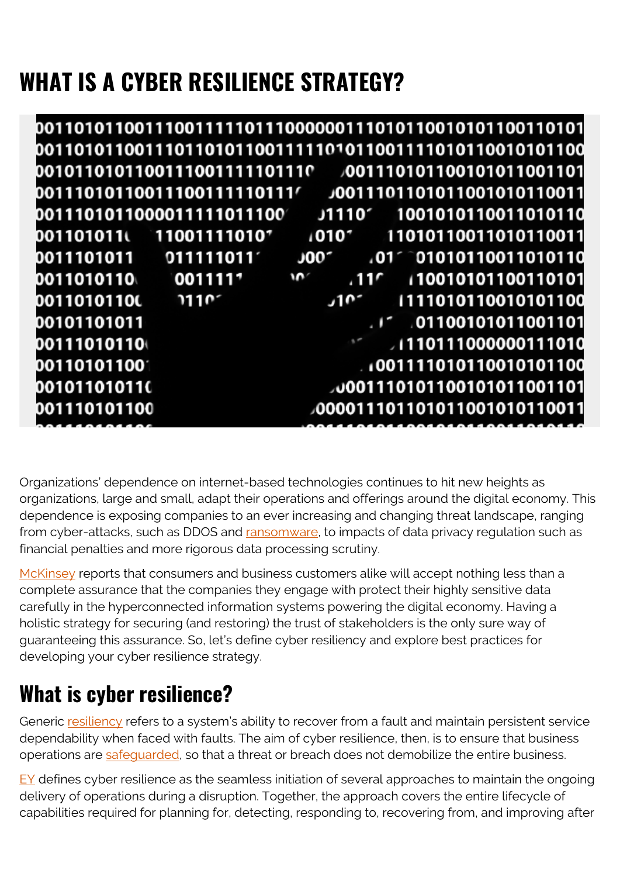# **WHAT IS A CYBER RESILIENCE STRATEGY?**

|                    | 0011101011000011111011100                                                                                            |                                  | J1110 1001010110011010110                  |
|--------------------|----------------------------------------------------------------------------------------------------------------------|----------------------------------|--------------------------------------------|
| 001101011\         | 110011110101                                                                                                         |                                  | 010" 11010110011010110011                  |
|                    |                                                                                                                      |                                  | $101^\circ$ 01010110011010110.             |
| 0011010110 0011111 |                                                                                                                      | $\mathbf{M}$<br>.11 <sup>c</sup> | 10010101100110101،                         |
| 00110101100        | $7110-1$                                                                                                             | J10 <sup>2</sup>                 | 1111010110010101100                        |
| 00101101011        |                                                                                                                      |                                  | $\cdot$ $\cdot$ $\cdot$ 011001010111001101 |
| 00111010110        |                                                                                                                      | $\sim$ 1110111000000111010       |                                            |
| 001101011001       |                                                                                                                      |                                  | 001111010110010101100                      |
| 00101101011(       | <u> Maria Maria Maria Maria Maria Maria Maria Maria Maria Maria Maria Maria Maria Maria Maria Maria Maria Maria </u> |                                  | 001110101100101011001101/م004.             |
| 001110101100       |                                                                                                                      |                                  | 000011101101011001010110011                |
| <b>04440404406</b> |                                                                                                                      |                                  |                                            |

Organizations' dependence on internet-based technologies continues to hit new heights as organizations, large and small, adapt their operations and offerings around the digital economy. This dependence is exposing companies to an ever increasing and changing threat landscape, ranging from cyber-attacks, such as DDOS and [ransomware,](https://blogs.bmc.com/blogs/ransomware-as-a-service/) to impacts of data privacy regulation such as financial penalties and more rigorous data processing scrutiny.

[McKinsey](https://www.mckinsey.com/business-functions/mckinsey-digital/our-insights/repelling-the-cyberattackers) reports that consumers and business customers alike will accept nothing less than a complete assurance that the companies they engage with protect their highly sensitive data carefully in the hyperconnected information systems powering the digital economy. Having a holistic strategy for securing (and restoring) the trust of stakeholders is the only sure way of guaranteeing this assurance. So, let's define cyber resiliency and explore best practices for developing your cyber resilience strategy.

#### **What is cyber resilience?**

Generic [resiliency](https://blogs.bmc.com/blogs/resiliency-vs-redundancy/) refers to a system's ability to recover from a fault and maintain persistent service dependability when faced with faults. The aim of cyber resilience, then, is to ensure that business operations are [safeguarded](https://digitalguardian.com/blog/what-cyber-resilience), so that a threat or breach does not demobilize the entire business.

 $EY$  defines cyber resilience as the seamless initiation of several approaches to maintain the ongoing delivery of operations during a disruption. Together, the approach covers the entire lifecycle of capabilities required for planning for, detecting, responding to, recovering from, and improving after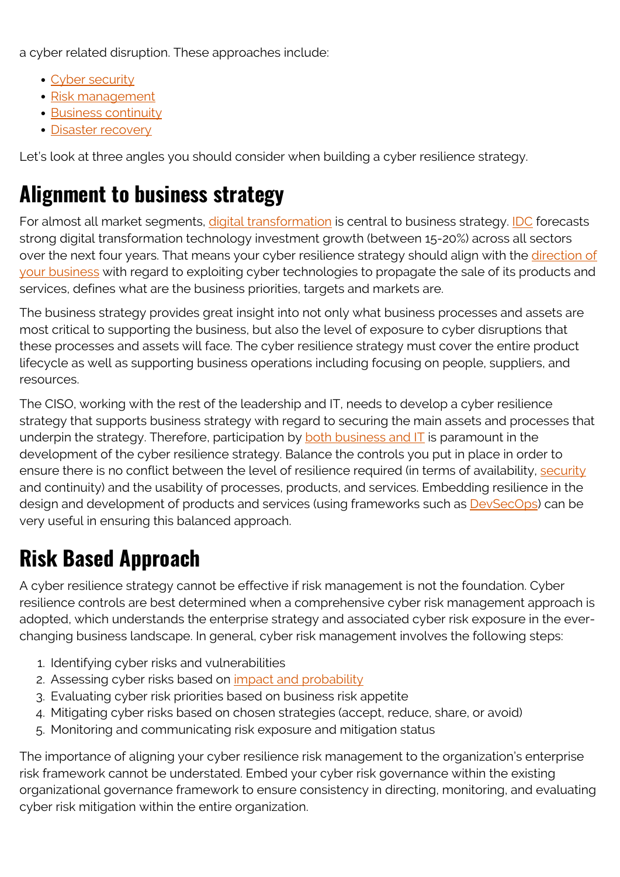a cyber related disruption. These approaches include:

- [Cyber security](https://blogs.bmc.com/blogs/cybersecurity-incident-response-on-the-mainframe/)
- [Risk management](https://blogs.bmc.com/blogs/risk-management/)
- [Business continuity](https://blogs.bmc.com/blogs/bcp-business-continuity-planning/)
- [Disaster recovery](https://blogs.bmc.com/blogs/disaster-recovery-planning/)

Let's look at three angles you should consider when building a cyber resilience strategy.

### **Alignment to business strategy**

For almost all market segments, [digital transformation](https://blogs.bmc.com/blogs/five-elements-for-enabling-digital-transformation/) is central to business strategy. [IDC](https://www.idc.com/getdoc.jsp?containerId=prUS45027419) forecasts strong digital transformation technology investment growth (between 15-20%) across all sectors over the next four years. That means your cyber resilience strategy should align with the [direction of](https://blogs.bmc.com/corporate/autonomous-digital-enterprise.html) [your business](https://blogs.bmc.com/corporate/autonomous-digital-enterprise.html) with regard to exploiting cyber technologies to propagate the sale of its products and services, defines what are the business priorities, targets and markets are.

The business strategy provides great insight into not only what business processes and assets are most critical to supporting the business, but also the level of exposure to cyber disruptions that these processes and assets will face. The cyber resilience strategy must cover the entire product lifecycle as well as supporting business operations including focusing on people, suppliers, and resources.

The CISO, working with the rest of the leadership and IT, needs to develop a cyber resilience strategy that supports business strategy with regard to securing the main assets and processes that underpin the strategy. Therefore, participation by **both business and IT** is paramount in the development of the cyber resilience strategy. Balance the controls you put in place in order to ensure there is no conflict between the level of resilience required (in terms of availability, [security](https://blogs.bmc.com/blogs/security-vulnerability-vs-threat-vs-risk-whats-difference/) and continuity) and the usability of processes, products, and services. Embedding resilience in the design and development of products and services (using frameworks such as **DevSecOps**) can be very useful in ensuring this balanced approach.

### **Risk Based Approach**

A cyber resilience strategy cannot be effective if risk management is not the foundation. Cyber resilience controls are best determined when a comprehensive cyber risk management approach is adopted, which understands the enterprise strategy and associated cyber risk exposure in the everchanging business landscape. In general, cyber risk management involves the following steps:

- 1. Identifying cyber risks and vulnerabilities
- 2. Assessing cyber risks based on *[impact and probability](https://blogs.bmc.com/blogs/impact-urgency-priority/)*
- 3. Evaluating cyber risk priorities based on business risk appetite
- 4. Mitigating cyber risks based on chosen strategies (accept, reduce, share, or avoid)
- 5. Monitoring and communicating risk exposure and mitigation status

The importance of aligning your cyber resilience risk management to the organization's enterprise risk framework cannot be understated. Embed your cyber risk governance within the existing organizational governance framework to ensure consistency in directing, monitoring, and evaluating cyber risk mitigation within the entire organization.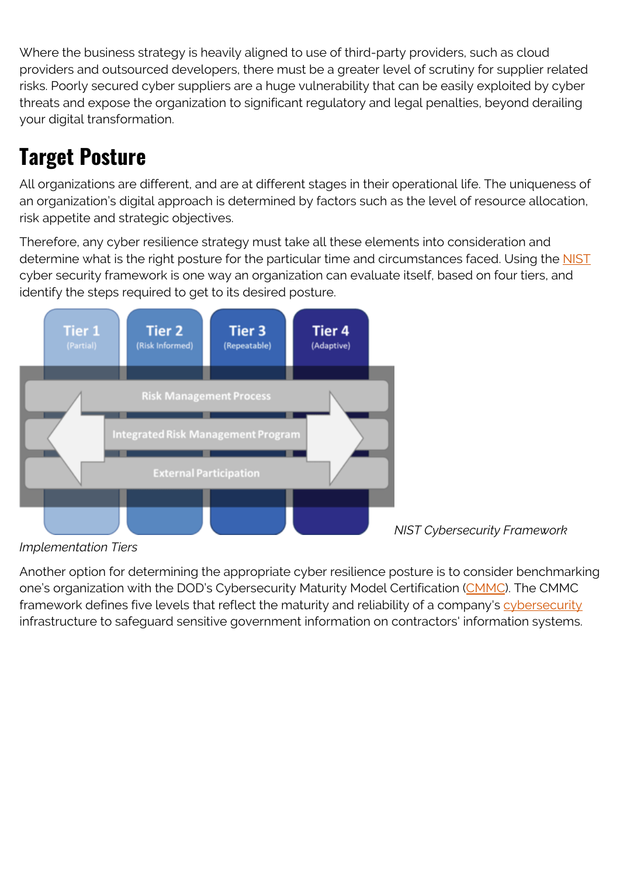Where the business strategy is heavily aligned to use of third-party providers, such as cloud providers and outsourced developers, there must be a greater level of scrutiny for supplier related risks. Poorly secured cyber suppliers are a huge vulnerability that can be easily exploited by cyber threats and expose the organization to significant regulatory and legal penalties, beyond derailing your digital transformation.

## **Target Posture**

All organizations are different, and are at different stages in their operational life. The uniqueness of an organization's digital approach is determined by factors such as the level of resource allocation, risk appetite and strategic objectives.

Therefore, any cyber resilience strategy must take all these elements into consideration and determine what is the right posture for the particular time and circumstances faced. Using the [NIST](https://www.nist.gov/cyberframework/framework) cyber security framework is one way an organization can evaluate itself, based on four tiers, and identify the steps required to get to its desired posture.



*Implementation Tiers*

Another option for determining the appropriate cyber resilience posture is to consider benchmarking one's organization with the DOD's Cybersecurity Maturity Model Certification ([CMMC](https://www.acq.osd.mil/cmmc/)). The CMMC framework defines five levels that reflect the maturity and reliability of a company's [cybersecurity](https://blogs.bmc.com/blogs/cybersecurity/) infrastructure to safeguard sensitive government information on contractors' information systems.